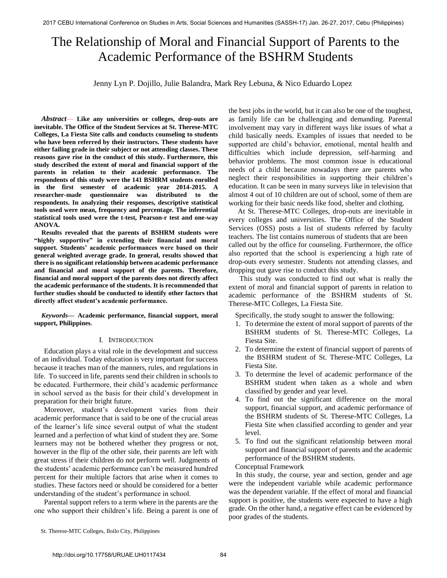# The Relationship of Moral and Financial Support of Parents to the Academic Performance of the BSHRM Students

Jenny Lyn P. Dojillo, Julie Balandra, Mark Rey Lebuna, & Nico Eduardo Lopez

*Abstract*— **Like any universities or colleges, drop-outs are inevitable. The Office of the Student Services at St. Therese-MTC Colleges, La Fiesta Site calls and conducts counseling to students who have been referred by their instructors. These students have either failing grade in their subject or not attending classes. These reasons gave rise in the conduct of this study. Furthermore, this study described the extent of moral and financial support of the parents in relation to their academic performance. The respondents of this study were the 141 BSHRM students enrolled in the first semester of academic year 2014-2015. A researcher-made questionnaire was distributed to the respondents. In analyzing their responses, descriptive statistical tools used were mean, frequency and percentage. The inferential statistical tools used were the t-test, Pearson-r test and one-way ANOVA.** 

 **Results revealed that the parents of BSHRM students were "highly supportive" in extending their financial and moral support. Students' academic performances were based on their general weighted average grade. In general, results showed that there is no significant relationship between academic performance and financial and moral support of the parents. Therefore, financial and moral support of the parents does not directly affect the academic performance of the students. It is recommended that further studies should be conducted to identify other factors that directly affect student's academic performance.** 

*Keywords—* **Academic performance, financial support, moral support, Philippines.** 

## I. INTRODUCTION

Education plays a vital role in the development and success of an individual. Today education is very important for success because it teaches man of the manners, rules, and regulations in life. To succeed in life, parents send their children in schools to be educated. Furthermore, their child's academic performance in school served as the basis for their child's development in preparation for their bright future.

Moreover, student's development varies from their academic performance that is said to be one of the crucial areas of the learner's life since several output of what the student learned and a perfection of what kind of student they are. Some learners may not be bothered whether they progress or not, however in the flip of the other side, their parents are left with great stress if their children do not perform well. Judgments of the students' academic performance can't be measured hundred percent for their multiple factors that arise when it comes to studies. These factors need or should be considered for a better understanding of the student's performance in school.

Parental support refers to a term where in the parents are the one who support their children's life. Being a parent is one of the best jobs in the world, but it can also be one of the toughest, as family life can be challenging and demanding. Parental involvement may vary in different ways like issues of what a child basically needs. Examples of issues that needed to be supported are child's behavior, emotional, mental health and difficulties which include depression, self-harming and behavior problems. The most common issue is educational needs of a child because nowadays there are parents who neglect their responsibilities in supporting their children's education. It can be seen in many surveys like in television that almost 4 out of 10 children are out of school, some of them are working for their basic needs like food, shelter and clothing.

 At St. Therese-MTC Colleges, drop-outs are inevitable in every colleges and universities. The Office of the Student Services (OSS) posts a list of students referred by faculty teachers. The list contains numerous of students that are been called out by the office for counseling. Furthermore, the office also reported that the school is experiencing a high rate of drop-outs every semester. Students not attending classes, and dropping out gave rise to conduct this study.

 This study was conducted to find out what is really the extent of moral and financial support of parents in relation to academic performance of the BSHRM students of St. Therese-MTC Colleges, La Fiesta Site.

Specifically, the study sought to answer the following:

- 1. To determine the extent of moral support of parents of the BSHRM students of St. Therese-MTC Colleges, La Fiesta Site.
- 2. To determine the extent of financial support of parents of the BSHRM student of St. Therese-MTC Colleges, La Fiesta Site.
- 3. To determine the level of academic performance of the BSHRM student when taken as a whole and when classified by gender and year level.
- 4. To find out the significant difference on the moral support, financial support, and academic performance of the BSHRM students of St. Therese-MTC Colleges, La Fiesta Site when classified according to gender and year level.
- 5. To find out the significant relationship between moral support and financial support of parents and the academic performance of the BSHRM students.

## Conceptual Framework

 In this study, the course, year and section, gender and age were the independent variable while academic performance was the dependent variable. If the effect of moral and financial support is positive, the students were expected to have a high grade. On the other hand, a negative effect can be evidenced by poor grades of the students.

St. Therese-MTC Colleges, Iloilo City, Philippines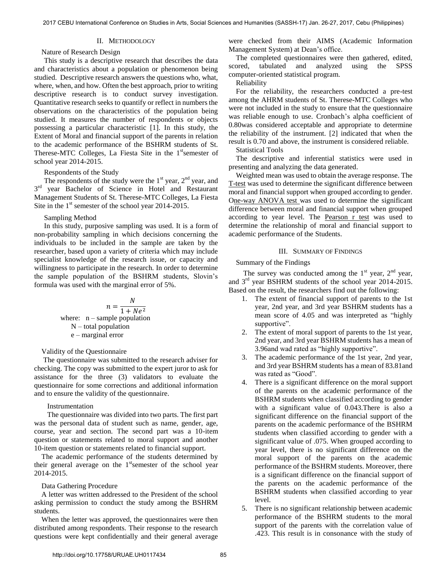## II. METHODOLOGY

#### Nature of Research Design

This study is a descriptive research that describes the data and characteristics about a population or phenomenon being studied. Descriptive research answers the questions who, what, where, when, and how. Often the best approach, prior to writing descriptive research is to conduct survey investigation. Quantitative research seeks to quantify or reflect in numbers the observations on the characteristics of the population being studied. It measures the number of respondents or objects possessing a particular characteristic [1]. In this study, the Extent of Moral and financial support of the parents in relation to the academic performance of the BSHRM students of St. Therese-MTC Colleges, La Fiesta Site in the  $1<sup>st</sup>$ semester of school year 2014-2015.

Respondents of the Study

The respondents of the study were the  $1<sup>st</sup>$  year,  $2<sup>nd</sup>$  year, and  $3^{\text{rd}}$ year Bachelor of Science in Hotel and Restaurant Management Students of St. Therese-MTC Colleges, La Fiesta Site in the  $1<sup>st</sup>$  semester of the school year 2014-2015.

#### Sampling Method

In this study, purposive sampling was used. It is a form of non-probability sampling in which decisions concerning the individuals to be included in the sample are taken by the researcher, based upon a variety of criteria which may include specialist knowledge of the research issue, or capacity and willingness to participate in the research. In order to determine the sample population of the BSHRM students, Slovin's formula was used with the marginal error of 5%.

$$
n = \frac{N}{1 + Ne^2}
$$
  
where: n – sample population  
N – total population  
e – marginal error

#### Validity of the Questionnaire

 The questionnaire was submitted to the research adviser for checking. The copy was submitted to the expert juror to ask for assistance for the three (3) validators to evaluate the questionnaire for some corrections and additional information and to ensure the validity of the questionnaire.

#### Instrumentation

The questionnaire was divided into two parts. The first part was the personal data of student such as name, gender, age, course, year and section. The second part was a 10-item question or statements related to moral support and another 10-item question or statements related to financial support.

The academic performance of the students determined by their general average on the  $1<sup>st</sup>$  semester of the school year 2014-2015.

#### Data Gathering Procedure

A letter was written addressed to the President of the school asking permission to conduct the study among the BSHRM students.

When the letter was approved, the questionnaires were then distributed among respondents. Their response to the research questions were kept confidentially and their general average were checked from their AIMS (Academic Information Management System) at Dean's office.

The completed questionnaires were then gathered, edited, scored, tabulated and analyzed using the SPSS computer-oriented statistical program.

Reliability

For the reliability, the researchers conducted a pre-test among the AHRM students of St. Therese-MTC Colleges who were not included in the study to ensure that the questionnaire was reliable enough to use. Cronbach's alpha coefficient of 0.80was considered acceptable and appropriate to determine the reliability of the instrument. [2] indicated that when the result is 0.70 and above, the instrument is considered reliable.

Statistical Tools

The descriptive and inferential statistics were used in presenting and analyzing the data generated.

Weighted mean was used to obtain the average response. The T-test was used to determine the significant difference between moral and financial support when grouped according to gender. One-way ANOVA test was used to determine the significant difference between moral and financial support when grouped according to year level. The Pearson r test was used to determine the relationship of moral and financial support to academic performance of the Students.

#### III. SUMMARY OF FINDINGS

### Summary of the Findings

The survey was conducted among the  $1<sup>st</sup>$  year,  $2<sup>nd</sup>$  year, and  $3<sup>rd</sup>$  year BSHRM students of the school year 2014-2015. Based on the result, the researchers find out the following:

- 1. The extent of financial support of parents to the 1st year, 2nd year, and 3rd year BSHRM students has a mean score of 4.05 and was interpreted as "highly supportive".
- 2. The extent of moral support of parents to the 1st year, 2nd year, and 3rd year BSHRM students has a mean of 3.96and wad rated as "highly supportive".
- 3. The academic performance of the 1st year, 2nd year, and 3rd year BSHRM students has a mean of 83.81and was rated as "Good".
- 4. There is a significant difference on the moral support of the parents on the academic performance of the BSHRM students when classified according to gender with a significant value of 0.043.There is also a significant difference on the financial support of the parents on the academic performance of the BSHRM students when classified according to gender with a significant value of .075. When grouped according to year level, there is no significant difference on the moral support of the parents on the academic performance of the BSHRM students. Moreover, there is a significant difference on the financial support of the parents on the academic performance of the BSHRM students when classified according to year level.
- 5. There is no significant relationship between academic performance of the BSHRM students to the moral support of the parents with the correlation value of .423. This result is in consonance with the study of